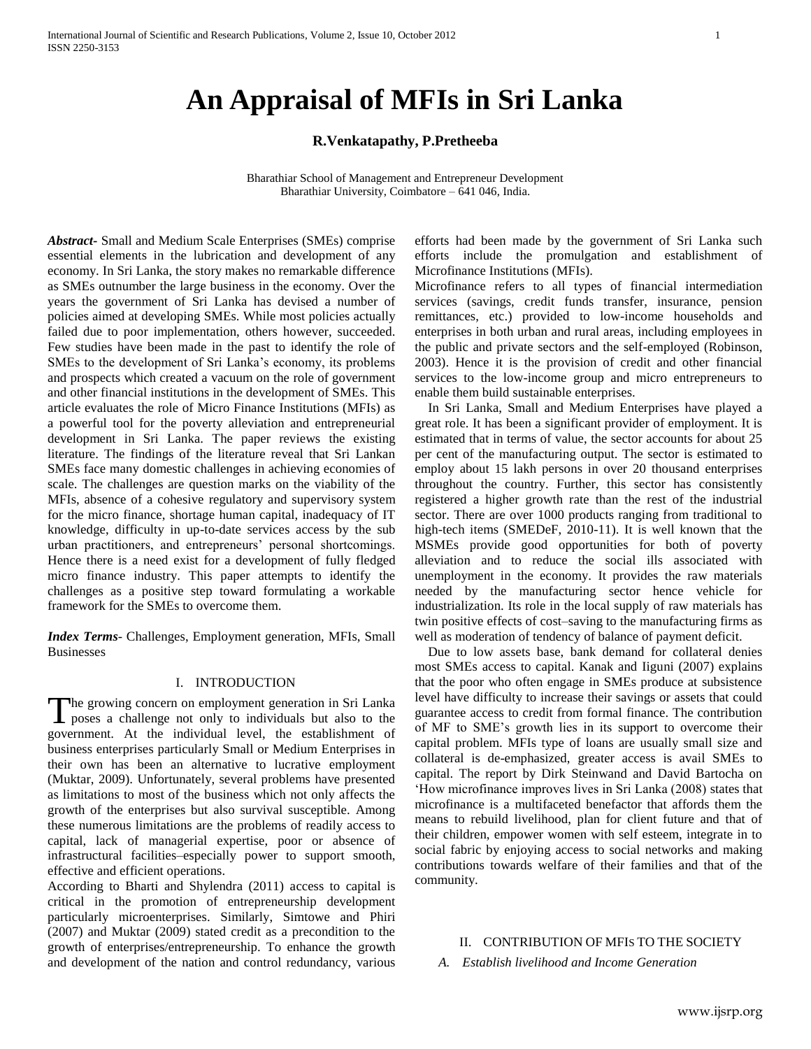# **An Appraisal of MFIs in Sri Lanka**

## **R.Venkatapathy, P.Pretheeba**

Bharathiar School of Management and Entrepreneur Development Bharathiar University, Coimbatore – 641 046, India.

*Abstract***-** Small and Medium Scale Enterprises (SMEs) comprise essential elements in the lubrication and development of any economy. In Sri Lanka, the story makes no remarkable difference as SMEs outnumber the large business in the economy. Over the years the government of Sri Lanka has devised a number of policies aimed at developing SMEs. While most policies actually failed due to poor implementation, others however, succeeded. Few studies have been made in the past to identify the role of SMEs to the development of Sri Lanka"s economy, its problems and prospects which created a vacuum on the role of government and other financial institutions in the development of SMEs. This article evaluates the role of Micro Finance Institutions (MFIs) as a powerful tool for the poverty alleviation and entrepreneurial development in Sri Lanka. The paper reviews the existing literature. The findings of the literature reveal that Sri Lankan SMEs face many domestic challenges in achieving economies of scale. The challenges are question marks on the viability of the MFIs, absence of a cohesive regulatory and supervisory system for the micro finance, shortage human capital, inadequacy of IT knowledge, difficulty in up-to-date services access by the sub urban practitioners, and entrepreneurs" personal shortcomings. Hence there is a need exist for a development of fully fledged micro finance industry. This paper attempts to identify the challenges as a positive step toward formulating a workable framework for the SMEs to overcome them.

*Index Terms*- Challenges, Employment generation, MFIs, Small Businesses

#### I. INTRODUCTION

The growing concern on employment generation in Sri Lanka The growing concern on employment generation in Sri Lanka<br>poses a challenge not only to individuals but also to the government. At the individual level, the establishment of business enterprises particularly Small or Medium Enterprises in their own has been an alternative to lucrative employment (Muktar, 2009). Unfortunately, several problems have presented as limitations to most of the business which not only affects the growth of the enterprises but also survival susceptible. Among these numerous limitations are the problems of readily access to capital, lack of managerial expertise, poor or absence of infrastructural facilities–especially power to support smooth, effective and efficient operations.

According to Bharti and Shylendra (2011) access to capital is critical in the promotion of entrepreneurship development particularly microenterprises. Similarly, Simtowe and Phiri (2007) and Muktar (2009) stated credit as a precondition to the growth of enterprises/entrepreneurship. To enhance the growth and development of the nation and control redundancy, various efforts had been made by the government of Sri Lanka such efforts include the promulgation and establishment of Microfinance Institutions (MFIs).

Microfinance refers to all types of financial intermediation services (savings, credit funds transfer, insurance, pension remittances, etc.) provided to low-income households and enterprises in both urban and rural areas, including employees in the public and private sectors and the self-employed (Robinson, 2003). Hence it is the provision of credit and other financial services to the low-income group and micro entrepreneurs to enable them build sustainable enterprises.

 In Sri Lanka, Small and Medium Enterprises have played a great role. It has been a significant provider of employment. It is estimated that in terms of value, the sector accounts for about 25 per cent of the manufacturing output. The sector is estimated to employ about 15 lakh persons in over 20 thousand enterprises throughout the country. Further, this sector has consistently registered a higher growth rate than the rest of the industrial sector. There are over 1000 products ranging from traditional to high-tech items (SMEDeF, 2010-11). It is well known that the MSMEs provide good opportunities for both of poverty alleviation and to reduce the social ills associated with unemployment in the economy. It provides the raw materials needed by the manufacturing sector hence vehicle for industrialization. Its role in the local supply of raw materials has twin positive effects of cost–saving to the manufacturing firms as well as moderation of tendency of balance of payment deficit.

 Due to low assets base, bank demand for collateral denies most SMEs access to capital. Kanak and Iiguni (2007) explains that the poor who often engage in SMEs produce at subsistence level have difficulty to increase their savings or assets that could guarantee access to credit from formal finance. The contribution of MF to SME"s growth lies in its support to overcome their capital problem. MFIs type of loans are usually small size and collateral is de-emphasized, greater access is avail SMEs to capital. The report by Dirk Steinwand and David Bartocha on "How microfinance improves lives in Sri Lanka (2008) states that microfinance is a multifaceted benefactor that affords them the means to rebuild livelihood, plan for client future and that of their children, empower women with self esteem, integrate in to social fabric by enjoying access to social networks and making contributions towards welfare of their families and that of the community.

# II. CONTRIBUTION OF MFIS TO THE SOCIETY

*A. Establish livelihood and Income Generation*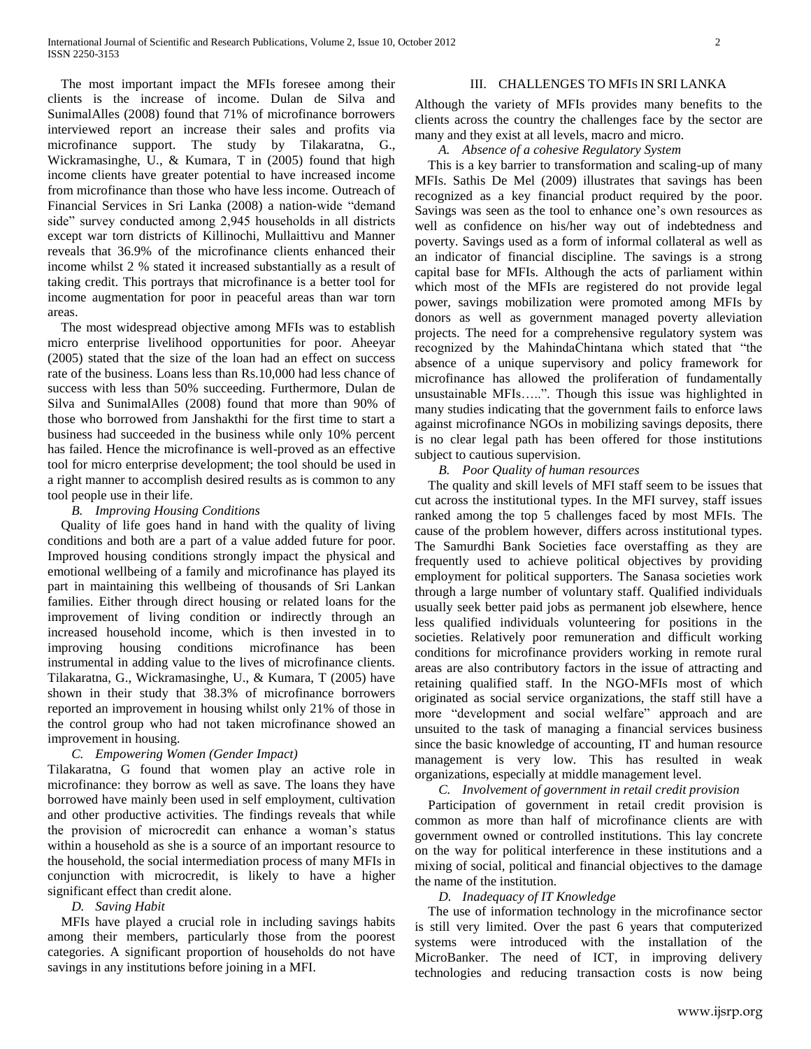The most important impact the MFIs foresee among their clients is the increase of income. Dulan de Silva and SunimalAlles (2008) found that 71% of microfinance borrowers interviewed report an increase their sales and profits via microfinance support. The study by Tilakaratna, G., Wickramasinghe, U., & Kumara, T in (2005) found that high income clients have greater potential to have increased income from microfinance than those who have less income. Outreach of Financial Services in Sri Lanka (2008) a nation-wide "demand side" survey conducted among 2,945 households in all districts except war torn districts of Killinochi, Mullaittivu and Manner reveals that 36.9% of the microfinance clients enhanced their income whilst 2 % stated it increased substantially as a result of taking credit. This portrays that microfinance is a better tool for income augmentation for poor in peaceful areas than war torn areas.

 The most widespread objective among MFIs was to establish micro enterprise livelihood opportunities for poor. Aheeyar (2005) stated that the size of the loan had an effect on success rate of the business. Loans less than Rs.10,000 had less chance of success with less than 50% succeeding. Furthermore, Dulan de Silva and SunimalAlles (2008) found that more than 90% of those who borrowed from Janshakthi for the first time to start a business had succeeded in the business while only 10% percent has failed. Hence the microfinance is well-proved as an effective tool for micro enterprise development; the tool should be used in a right manner to accomplish desired results as is common to any tool people use in their life.

#### *B. Improving Housing Conditions*

 Quality of life goes hand in hand with the quality of living conditions and both are a part of a value added future for poor. Improved housing conditions strongly impact the physical and emotional wellbeing of a family and microfinance has played its part in maintaining this wellbeing of thousands of Sri Lankan families. Either through direct housing or related loans for the improvement of living condition or indirectly through an increased household income, which is then invested in to improving housing conditions microfinance has been instrumental in adding value to the lives of microfinance clients. Tilakaratna, G., Wickramasinghe, U., & Kumara, T (2005) have shown in their study that 38.3% of microfinance borrowers reported an improvement in housing whilst only 21% of those in the control group who had not taken microfinance showed an improvement in housing.

## *C. Empowering Women (Gender Impact)*

Tilakaratna, G found that women play an active role in microfinance: they borrow as well as save. The loans they have borrowed have mainly been used in self employment, cultivation and other productive activities. The findings reveals that while the provision of microcredit can enhance a woman"s status within a household as she is a source of an important resource to the household, the social intermediation process of many MFIs in conjunction with microcredit, is likely to have a higher significant effect than credit alone.

## *D. Saving Habit*

 MFIs have played a crucial role in including savings habits among their members, particularly those from the poorest categories. A significant proportion of households do not have savings in any institutions before joining in a MFI.

## III. CHALLENGES TO MFIS IN SRI LANKA

Although the variety of MFIs provides many benefits to the clients across the country the challenges face by the sector are many and they exist at all levels, macro and micro.

## *A. Absence of a cohesive Regulatory System*

 This is a key barrier to transformation and scaling-up of many MFIs. Sathis De Mel (2009) illustrates that savings has been recognized as a key financial product required by the poor. Savings was seen as the tool to enhance one's own resources as well as confidence on his/her way out of indebtedness and poverty. Savings used as a form of informal collateral as well as an indicator of financial discipline. The savings is a strong capital base for MFIs. Although the acts of parliament within which most of the MFIs are registered do not provide legal power, savings mobilization were promoted among MFIs by donors as well as government managed poverty alleviation projects. The need for a comprehensive regulatory system was recognized by the MahindaChintana which stated that "the absence of a unique supervisory and policy framework for microfinance has allowed the proliferation of fundamentally unsustainable MFIs…..". Though this issue was highlighted in many studies indicating that the government fails to enforce laws against microfinance NGOs in mobilizing savings deposits, there is no clear legal path has been offered for those institutions subject to cautious supervision.

#### *B. Poor Quality of human resources*

 The quality and skill levels of MFI staff seem to be issues that cut across the institutional types. In the MFI survey, staff issues ranked among the top 5 challenges faced by most MFIs. The cause of the problem however, differs across institutional types. The Samurdhi Bank Societies face overstaffing as they are frequently used to achieve political objectives by providing employment for political supporters. The Sanasa societies work through a large number of voluntary staff. Qualified individuals usually seek better paid jobs as permanent job elsewhere, hence less qualified individuals volunteering for positions in the societies. Relatively poor remuneration and difficult working conditions for microfinance providers working in remote rural areas are also contributory factors in the issue of attracting and retaining qualified staff. In the NGO-MFIs most of which originated as social service organizations, the staff still have a more "development and social welfare" approach and are unsuited to the task of managing a financial services business since the basic knowledge of accounting, IT and human resource management is very low. This has resulted in weak organizations, especially at middle management level.

## *C. Involvement of government in retail credit provision*

 Participation of government in retail credit provision is common as more than half of microfinance clients are with government owned or controlled institutions. This lay concrete on the way for political interference in these institutions and a mixing of social, political and financial objectives to the damage the name of the institution.

## *D. Inadequacy of IT Knowledge*

 The use of information technology in the microfinance sector is still very limited. Over the past 6 years that computerized systems were introduced with the installation of the MicroBanker. The need of ICT, in improving delivery technologies and reducing transaction costs is now being